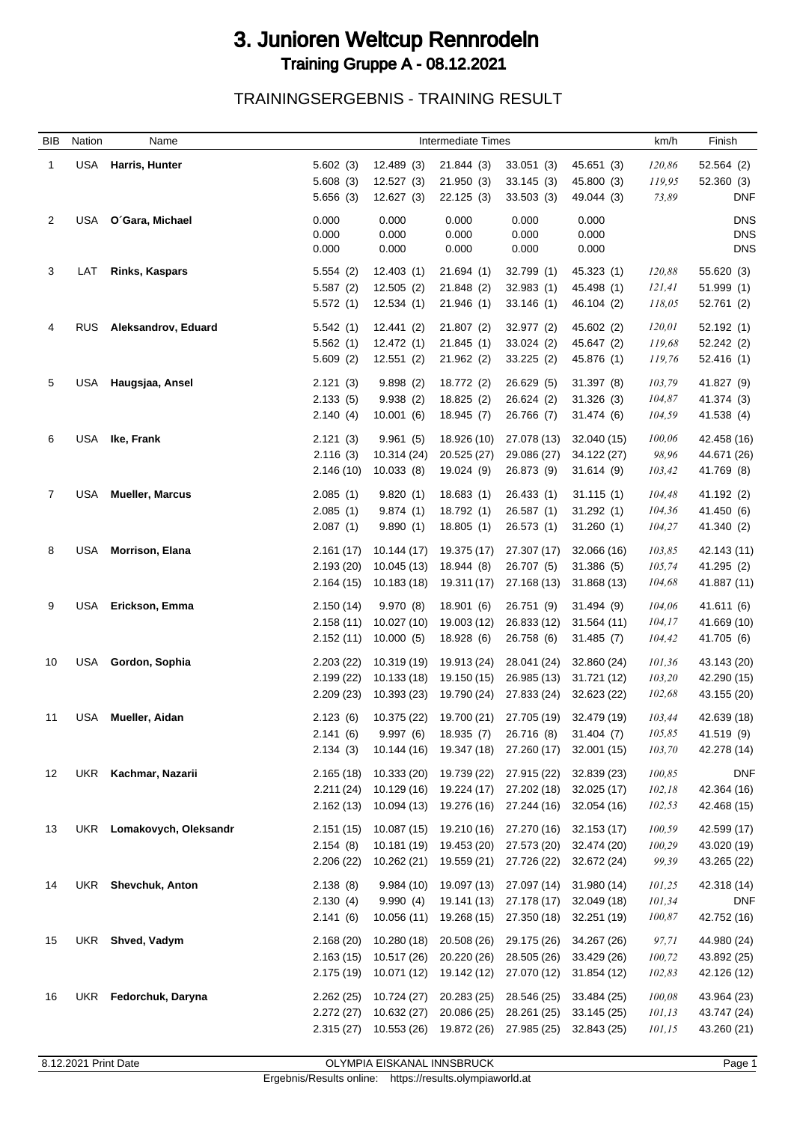## 3. Junioren Weltcup Rennrodeln Training Gruppe A - 08.12.2021

TRAININGSERGEBNIS - TRAINING RESULT

| <b>BIB</b>     | Nation     | Name                   |                | <b>Intermediate Times</b> | km/h           | Finish         |                |         |                          |
|----------------|------------|------------------------|----------------|---------------------------|----------------|----------------|----------------|---------|--------------------------|
| 1              | <b>USA</b> | Harris, Hunter         | 5.602(3)       | 12.489 (3)                | 21.844(3)      | 33.051(3)      | 45.651 (3)     | 120,86  | 52.564 (2)               |
|                |            |                        | 5.608(3)       | 12.527 (3)                | 21.950(3)      | 33.145(3)      | 45.800 (3)     | 119,95  | 52.360(3)                |
|                |            |                        | 5.656(3)       | 12.627(3)                 | 22.125(3)      | 33.503(3)      | 49.044 (3)     | 73,89   | <b>DNF</b>               |
|                |            |                        |                |                           |                |                |                |         |                          |
| 2              | USA        | O'Gara, Michael        | 0.000<br>0.000 | 0.000<br>0.000            | 0.000<br>0.000 | 0.000<br>0.000 | 0.000<br>0.000 |         | <b>DNS</b><br><b>DNS</b> |
|                |            |                        | 0.000          | 0.000                     | 0.000          | 0.000          | 0.000          |         | <b>DNS</b>               |
|                |            |                        |                |                           |                |                |                |         |                          |
| 3              | LAT        | <b>Rinks, Kaspars</b>  | 5.554(2)       | 12.403(1)                 | 21.694(1)      | 32.799 (1)     | 45.323 (1)     | 120,88  | 55.620 (3)               |
|                |            |                        | 5.587(2)       | 12.505(2)                 | 21.848 (2)     | 32.983(1)      | 45.498 (1)     | 121,41  | 51.999(1)                |
|                |            |                        | 5.572(1)       | 12.534(1)                 | 21.946(1)      | 33.146(1)      | 46.104 (2)     | 118,05  | 52.761 (2)               |
| 4              | <b>RUS</b> | Aleksandrov, Eduard    | 5.542(1)       | 12.441(2)                 | 21.807(2)      | 32.977 (2)     | 45.602 (2)     | 120,01  | 52.192(1)                |
|                |            |                        | 5.562(1)       | 12.472(1)                 | 21.845(1)      | 33.024 (2)     | 45.647 (2)     | 119,68  | 52.242 (2)               |
|                |            |                        | 5.609(2)       | 12.551(2)                 | 21.962(2)      | 33.225(2)      | 45.876 (1)     | 119,76  | 52.416(1)                |
| 5              | USA        | Haugsjaa, Ansel        | 2.121(3)       | 9.898(2)                  | 18.772 (2)     | 26.629 (5)     | 31.397 (8)     | 103,79  | 41.827 (9)               |
|                |            |                        | 2.133(5)       | 9.938(2)                  | 18.825 (2)     | 26.624 (2)     | 31.326(3)      | 104,87  | 41.374 (3)               |
|                |            |                        | 2.140(4)       | 10.001(6)                 | 18.945 (7)     | 26.766 (7)     | 31.474 (6)     | 104,59  | 41.538 (4)               |
|                |            |                        |                |                           |                |                |                |         |                          |
| 6              | <b>USA</b> | Ike, Frank             | 2.121(3)       | 9.961(5)                  | 18.926 (10)    | 27.078 (13)    | 32.040 (15)    | 100,06  | 42.458 (16)              |
|                |            |                        | 2.116(3)       | 10.314 (24)               | 20.525 (27)    | 29.086 (27)    | 34.122 (27)    | 98,96   | 44.671 (26)              |
|                |            |                        | 2.146(10)      | 10.033(8)                 | 19.024 (9)     | 26.873 (9)     | 31.614(9)      | 103,42  | 41.769 (8)               |
| $\overline{7}$ | USA        | <b>Mueller, Marcus</b> | 2.085(1)       | 9.820(1)                  | 18.683(1)      | 26.433 (1)     | 31.115(1)      | 104,48  | 41.192 (2)               |
|                |            |                        | 2.085(1)       | 9.874(1)                  | 18.792 (1)     | 26.587(1)      | 31.292(1)      | 104,36  | 41.450 (6)               |
|                |            |                        | 2.087(1)       | 9.890(1)                  | 18.805(1)      | 26.573(1)      | 31.260(1)      | 104,27  | 41.340 (2)               |
| 8              | <b>USA</b> | <b>Morrison, Elana</b> | 2.161(17)      | 10.144(17)                | 19.375 (17)    | 27.307 (17)    | 32.066 (16)    | 103,85  | 42.143 (11)              |
|                |            |                        | 2.193(20)      | 10.045 (13)               | 18.944 (8)     | 26.707 (5)     | 31.386(5)      | 105,74  | 41.295 (2)               |
|                |            |                        | 2.164(15)      | 10.183 (18)               | 19.311 (17)    | 27.168 (13)    | 31.868 (13)    | 104,68  | 41.887 (11)              |
|                |            |                        |                |                           |                |                |                |         |                          |
| 9              | <b>USA</b> | Erickson, Emma         | 2.150(14)      | 9.970 (8)                 | 18.901(6)      | 26.751 (9)     | 31.494 (9)     | 104,06  | 41.611 (6)               |
|                |            |                        | 2.158(11)      | 10.027 (10)               | 19.003 (12)    | 26.833 (12)    | 31.564 (11)    | 104, 17 | 41.669 (10)              |
|                |            |                        | 2.152(11)      | 10.000(5)                 | 18.928 (6)     | 26.758 (6)     | 31.485(7)      | 104,42  | 41.705 (6)               |
| 10             | <b>USA</b> | Gordon, Sophia         | 2.203(22)      | 10.319 (19)               | 19.913 (24)    | 28.041 (24)    | 32.860 (24)    | 101,36  | 43.143 (20)              |
|                |            |                        | 2.199(22)      | 10.133 (18)               | 19.150 (15)    | 26.985 (13)    | 31.721 (12)    | 103,20  | 42.290 (15)              |
|                |            |                        | 2.209(23)      | 10.393 (23)               | 19.790 (24)    | 27.833 (24)    | 32.623 (22)    | 102,68  | 43.155 (20)              |
| 11             | USA        | Mueller, Aidan         | 2.123(6)       | 10.375 (22)               | 19.700 (21)    | 27.705 (19)    | 32.479 (19)    | 103,44  | 42.639 (18)              |
|                |            |                        | 2.141(6)       | 9.997(6)                  | 18.935 (7)     | 26.716 (8)     | 31.404(7)      | 105,85  | 41.519 (9)               |
|                |            |                        | 2.134(3)       | 10.144 (16)               | 19.347 (18)    | 27.260 (17)    | 32.001 (15)    | 103,70  | 42.278 (14)              |
|                |            |                        |                |                           |                |                |                |         |                          |
| 12             |            | UKR Kachmar, Nazarii   | 2.165(18)      | 10.333 (20)               | 19.739 (22)    | 27.915 (22)    | 32.839 (23)    | 100,85  | <b>DNF</b>               |
|                |            |                        | 2.211(24)      | 10.129 (16)               | 19.224 (17)    | 27.202 (18)    | 32.025 (17)    | 102,18  | 42.364 (16)              |
|                |            |                        | 2.162(13)      | 10.094 (13)               | 19.276 (16)    | 27.244 (16)    | 32.054 (16)    | 102,53  | 42.468 (15)              |
| 13             | UKR        | Lomakovych, Oleksandr  | 2.151(15)      | 10.087 (15)               | 19.210 (16)    | 27.270 (16)    | 32.153 (17)    | 100,59  | 42.599 (17)              |
|                |            |                        | 2.154(8)       | 10.181 (19)               | 19.453 (20)    | 27.573 (20)    | 32.474 (20)    | 100,29  | 43.020 (19)              |
|                |            |                        | 2.206(22)      | 10.262 (21)               | 19.559 (21)    | 27.726 (22)    | 32.672 (24)    | 99,39   | 43.265 (22)              |
| 14             |            | UKR Shevchuk, Anton    | 2.138(8)       | 9.984(10)                 | 19.097 (13)    | 27.097 (14)    | 31.980 (14)    | 101,25  | 42.318 (14)              |
|                |            |                        | 2.130(4)       | 9.990(4)                  | 19.141 (13)    | 27.178 (17)    | 32.049 (18)    | 101,34  | <b>DNF</b>               |
|                |            |                        | 2.141(6)       | 10.056(11)                | 19.268 (15)    | 27.350 (18)    | 32.251 (19)    | 100,87  | 42.752 (16)              |
|                |            |                        |                |                           |                |                |                |         |                          |
| 15             | UKR        | Shved, Vadym           | 2.168(20)      | 10.280 (18)               | 20.508 (26)    | 29.175 (26)    | 34.267 (26)    | 97,71   | 44.980 (24)              |
|                |            |                        | 2.163(15)      | 10.517 (26)               | 20.220 (26)    | 28.505 (26)    | 33.429 (26)    | 100,72  | 43.892 (25)              |
|                |            |                        |                | 2.175 (19) 10.071 (12)    | 19.142 (12)    | 27.070 (12)    | 31.854 (12)    | 102,83  | 42.126 (12)              |
| 16             |            | UKR Fedorchuk, Daryna  | 2.262(25)      | 10.724 (27)               | 20.283 (25)    | 28.546 (25)    | 33.484 (25)    | 100,08  | 43.964 (23)              |
|                |            |                        | 2.272(27)      | 10.632 (27)               | 20.086 (25)    | 28.261 (25)    | 33.145 (25)    | 101,13  | 43.747 (24)              |
|                |            |                        |                | 2.315 (27) 10.553 (26)    | 19.872 (26)    | 27.985 (25)    | 32.843 (25)    | 101,15  | 43.260 (21)              |
|                |            |                        |                |                           |                |                |                |         |                          |